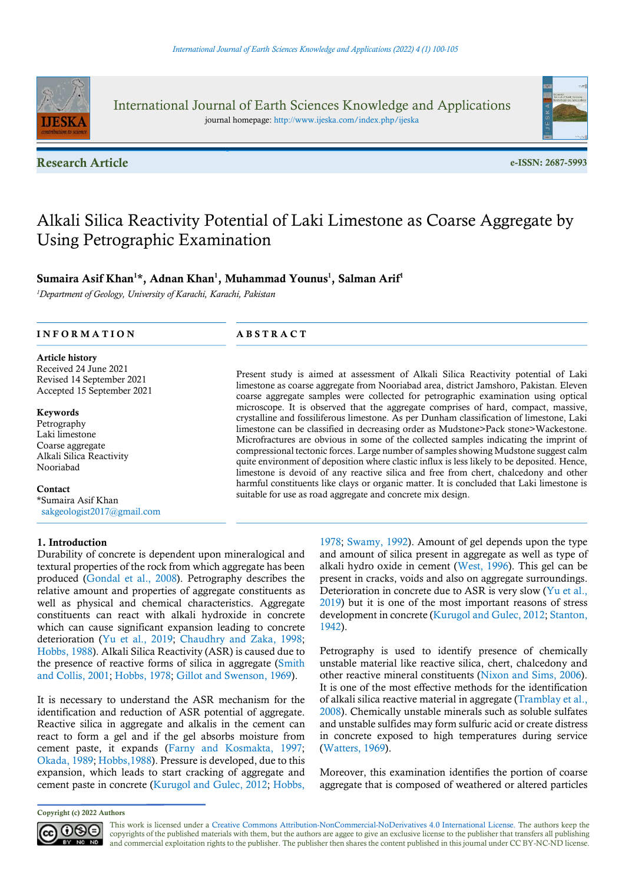

International Journal of Earth Sciences Knowledge and Applications journal homepage: http://www.ijeska.com/index.php/ijeska

Research Article e-ISSN: 2687-5993



# Alkali Silica Reactivity Potential of Laki Limestone as Coarse Aggregate by Using Petrographic Examination

# Sumaira Asif Khan<sup>1\*</sup>, Adnan Khan<sup>1</sup>, Muhammad Younus<sup>1</sup>, Salman Arif<sup>1</sup>

<sup>1</sup>Department of Geology, University of Karachi, Karachi, Pakistan

### INFORMATION ABSTRACT

Article history

Received 24 June 2021 Revised 14 September 2021 Accepted 15 September 2021

#### Keywords

Petrography Laki limestone Coarse aggregate Alkali Silica Reactivity Nooriabad

#### **Contact**

\*Sumaira Asif Khan sakgeologist2017@gmail.com

# 1. Introduction

Durability of concrete is dependent upon mineralogical and textural properties of the rock from which aggregate has been produced (Gondal et al., 2008). Petrography describes the relative amount and properties of aggregate constituents as well as physical and chemical characteristics. Aggregate constituents can react with alkali hydroxide in concrete which can cause significant expansion leading to concrete deterioration (Yu et al., 2019; Chaudhry and Zaka, 1998; Hobbs, 1988). Alkali Silica Reactivity (ASR) is caused due to the presence of reactive forms of silica in aggregate (Smith and Collis, 2001; Hobbs, 1978; Gillot and Swenson, 1969).

It is necessary to understand the ASR mechanism for the identification and reduction of ASR potential of aggregate. Reactive silica in aggregate and alkalis in the cement can react to form a gel and if the gel absorbs moisture from cement paste, it expands (Farny and Kosmakta, 1997; Okada, 1989; Hobbs,1988). Pressure is developed, due to this expansion, which leads to start cracking of aggregate and cement paste in concrete (Kurugol and Gulec, 2012; Hobbs,

Present study is aimed at assessment of Alkali Silica Reactivity potential of Laki limestone as coarse aggregate from Nooriabad area, district Jamshoro, Pakistan. Eleven coarse aggregate samples were collected for petrographic examination using optical microscope. It is observed that the aggregate comprises of hard, compact, massive, crystalline and fossiliferous limestone. As per Dunham classification of limestone, Laki limestone can be classified in decreasing order as Mudstone>Pack stone>Wackestone. Microfractures are obvious in some of the collected samples indicating the imprint of compressional tectonic forces. Large number of samples showing Mudstone suggest calm quite environment of deposition where clastic influx is less likely to be deposited. Hence, limestone is devoid of any reactive silica and free from chert, chalcedony and other harmful constituents like clays or organic matter. It is concluded that Laki limestone is suitable for use as road aggregate and concrete mix design.

> 1978; Swamy, 1992). Amount of gel depends upon the type and amount of silica present in aggregate as well as type of alkali hydro oxide in cement (West, 1996). This gel can be present in cracks, voids and also on aggregate surroundings. Deterioration in concrete due to ASR is very slow (Yu et al., 2019) but it is one of the most important reasons of stress development in concrete (Kurugol and Gulec, 2012; Stanton, 1942).

> Petrography is used to identify presence of chemically unstable material like reactive silica, chert, chalcedony and other reactive mineral constituents (Nixon and Sims, 2006). It is one of the most effective methods for the identification of alkali silica reactive material in aggregate (Tramblay et al., 2008). Chemically unstable minerals such as soluble sulfates and unstable sulfides may form sulfuric acid or create distress in concrete exposed to high temperatures during service (Watters, 1969).

> Moreover, this examination identifies the portion of coarse aggregate that is composed of weathered or altered particles

 $0$ 90 (cc BY NC ND

This work is licensed under a Creative Commons Attribution-NonCommercial-NoDerivatives 4.0 International License. The authors keep the copyrights of the published materials with them, but the authors are aggee to give an exclusive license to the publisher that transfers all publishing and commercial exploitation rights to the publisher. The publisher then shares the content published in this journal under CC BY-NC-ND license.

Copyright (c) 2022 Authors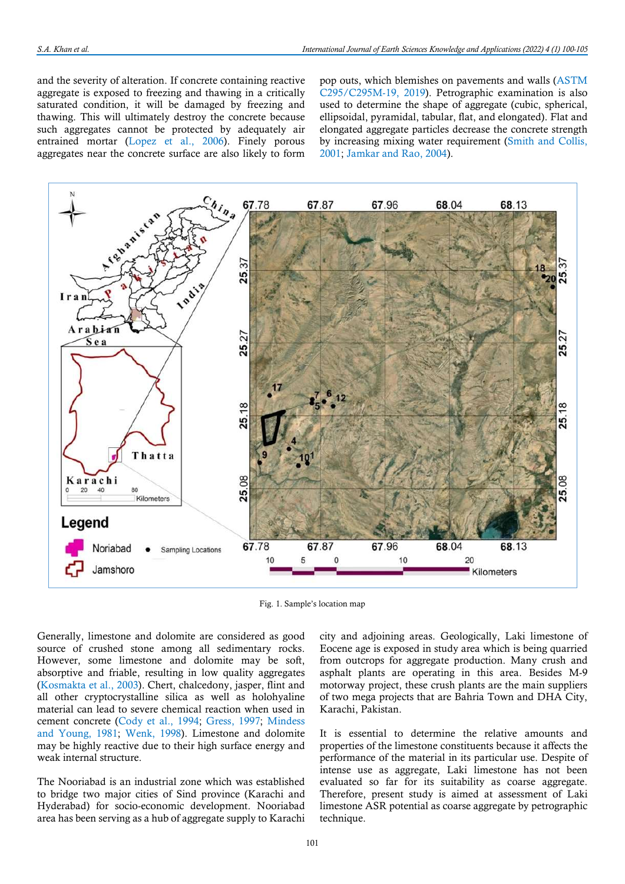and the severity of alteration. If concrete containing reactive aggregate is exposed to freezing and thawing in a critically saturated condition, it will be damaged by freezing and thawing. This will ultimately destroy the concrete because such aggregates cannot be protected by adequately air entrained mortar (Lopez et al., 2006). Finely porous aggregates near the concrete surface are also likely to form

pop outs, which blemishes on pavements and walls (ASTM C295/C295M-19, 2019). Petrographic examination is also used to determine the shape of aggregate (cubic, spherical, ellipsoidal, pyramidal, tabular, flat, and elongated). Flat and elongated aggregate particles decrease the concrete strength by increasing mixing water requirement (Smith and Collis, 2001; Jamkar and Rao, 2004).



Fig. 1. Sample's location map

Generally, limestone and dolomite are considered as good source of crushed stone among all sedimentary rocks. However, some limestone and dolomite may be soft, absorptive and friable, resulting in low quality aggregates (Kosmakta et al., 2003). Chert, chalcedony, jasper, flint and all other cryptocrystalline silica as well as holohyaline material can lead to severe chemical reaction when used in cement concrete (Cody et al., 1994; Gress, 1997; Mindess and Young, 1981; Wenk, 1998). Limestone and dolomite may be highly reactive due to their high surface energy and weak internal structure.

The Nooriabad is an industrial zone which was established to bridge two major cities of Sind province (Karachi and Hyderabad) for socio-economic development. Nooriabad area has been serving as a hub of aggregate supply to Karachi city and adjoining areas. Geologically, Laki limestone of Eocene age is exposed in study area which is being quarried from outcrops for aggregate production. Many crush and asphalt plants are operating in this area. Besides M-9 motorway project, these crush plants are the main suppliers of two mega projects that are Bahria Town and DHA City, Karachi, Pakistan.

It is essential to determine the relative amounts and properties of the limestone constituents because it affects the performance of the material in its particular use. Despite of intense use as aggregate, Laki limestone has not been evaluated so far for its suitability as coarse aggregate. Therefore, present study is aimed at assessment of Laki limestone ASR potential as coarse aggregate by petrographic technique.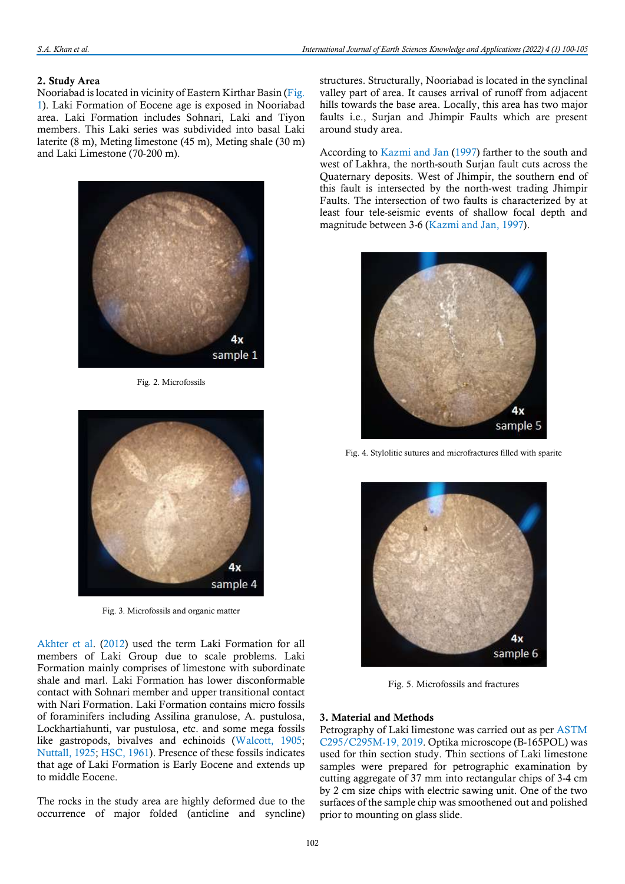#### 2. Study Area

Nooriabad is located in vicinity of Eastern Kirthar Basin (Fig. 1). Laki Formation of Eocene age is exposed in Nooriabad area. Laki Formation includes Sohnari, Laki and Tiyon members. This Laki series was subdivided into basal Laki laterite (8 m), Meting limestone (45 m), Meting shale (30 m) and Laki Limestone (70-200 m).



Fig. 2. Microfossils



Fig. 3. Microfossils and organic matter

Akhter et al. (2012) used the term Laki Formation for all members of Laki Group due to scale problems. Laki Formation mainly comprises of limestone with subordinate shale and marl. Laki Formation has lower disconformable contact with Sohnari member and upper transitional contact with Nari Formation. Laki Formation contains micro fossils of foraminifers including Assilina granulose, A. pustulosa, Lockhartiahunti, var pustulosa, etc. and some mega fossils like gastropods, bivalves and echinoids (Walcott, 1905; Nuttall, 1925; HSC, 1961). Presence of these fossils indicates that age of Laki Formation is Early Eocene and extends up to middle Eocene.

The rocks in the study area are highly deformed due to the occurrence of major folded (anticline and syncline) structures. Structurally, Nooriabad is located in the synclinal valley part of area. It causes arrival of runoff from adjacent hills towards the base area. Locally, this area has two major faults i.e., Surjan and Jhimpir Faults which are present around study area.

According to Kazmi and Jan (1997) farther to the south and west of Lakhra, the north-south Surjan fault cuts across the Quaternary deposits. West of Jhimpir, the southern end of this fault is intersected by the north-west trading Jhimpir Faults. The intersection of two faults is characterized by at least four tele-seismic events of shallow focal depth and magnitude between 3-6 (Kazmi and Jan, 1997).



Fig. 4. Stylolitic sutures and microfractures filled with sparite



Fig. 5. Microfossils and fractures

## 3. Material and Methods

Petrography of Laki limestone was carried out as per ASTM C295/C295M-19, 2019. Optika microscope (B-165POL) was used for thin section study. Thin sections of Laki limestone samples were prepared for petrographic examination by cutting aggregate of 37 mm into rectangular chips of 3-4 cm by 2 cm size chips with electric sawing unit. One of the two surfaces of the sample chip was smoothened out and polished prior to mounting on glass slide.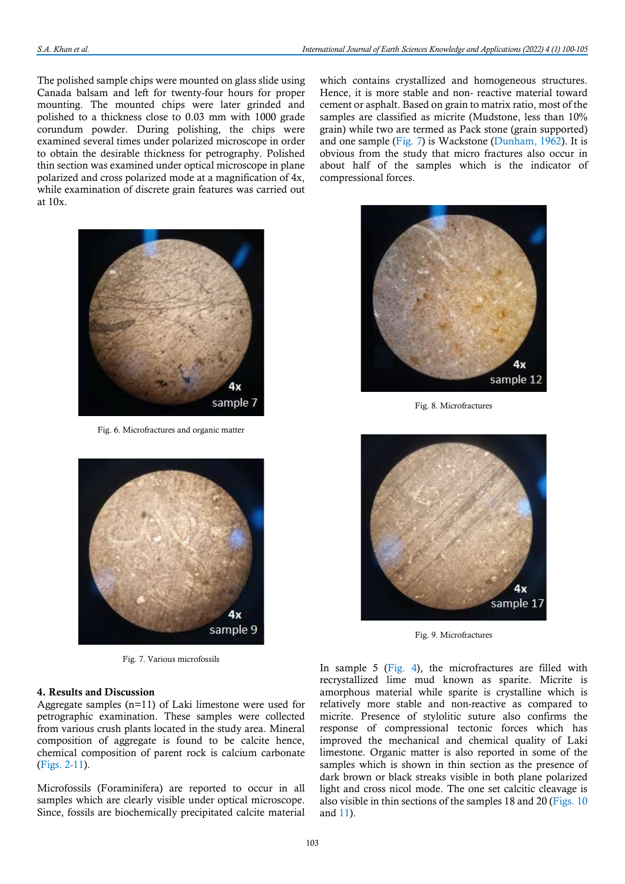The polished sample chips were mounted on glass slide using Canada balsam and left for twenty-four hours for proper mounting. The mounted chips were later grinded and polished to a thickness close to 0.03 mm with 1000 grade corundum powder. During polishing, the chips were examined several times under polarized microscope in order to obtain the desirable thickness for petrography. Polished thin section was examined under optical microscope in plane polarized and cross polarized mode at a magnification of 4x, while examination of discrete grain features was carried out at 10x.

which contains crystallized and homogeneous structures. Hence, it is more stable and non- reactive material toward cement or asphalt. Based on grain to matrix ratio, most of the samples are classified as micrite (Mudstone, less than 10% grain) while two are termed as Pack stone (grain supported) and one sample (Fig. 7) is Wackstone (Dunham, 1962). It is obvious from the study that micro fractures also occur in about half of the samples which is the indicator of compressional forces.



Fig. 6. Microfractures and organic matter



Fig. 7. Various microfossils

#### 4. Results and Discussion

Aggregate samples (n=11) of Laki limestone were used for petrographic examination. These samples were collected from various crush plants located in the study area. Mineral composition of aggregate is found to be calcite hence, chemical composition of parent rock is calcium carbonate (Figs. 2-11).

Microfossils (Foraminifera) are reported to occur in all samples which are clearly visible under optical microscope. Since, fossils are biochemically precipitated calcite material



Fig. 8. Microfractures



Fig. 9. Microfractures

In sample 5 (Fig. 4), the microfractures are filled with recrystallized lime mud known as sparite. Micrite is amorphous material while sparite is crystalline which is relatively more stable and non-reactive as compared to micrite. Presence of stylolitic suture also confirms the response of compressional tectonic forces which has improved the mechanical and chemical quality of Laki limestone. Organic matter is also reported in some of the samples which is shown in thin section as the presence of dark brown or black streaks visible in both plane polarized light and cross nicol mode. The one set calcitic cleavage is also visible in thin sections of the samples 18 and 20 (Figs. 10 and 11).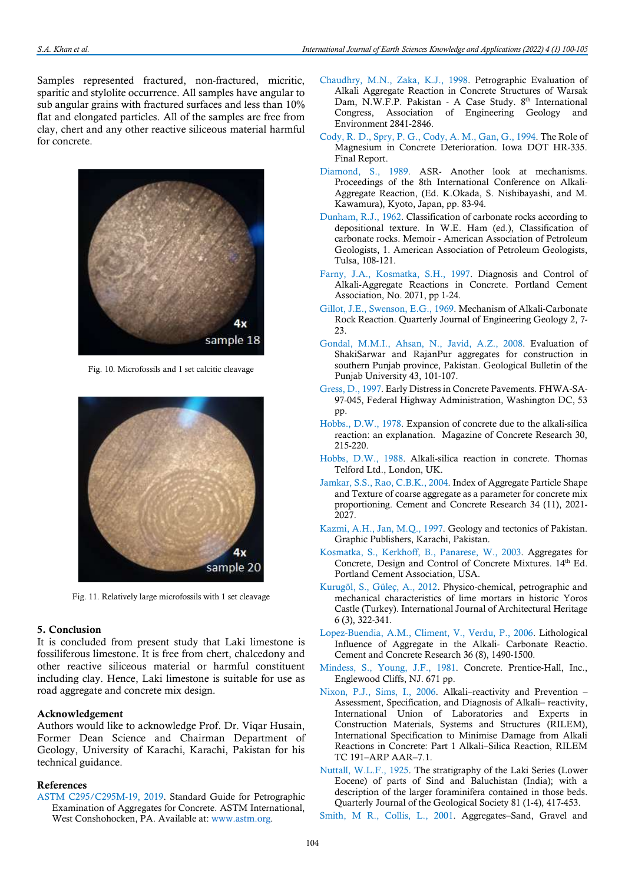Samples represented fractured, non-fractured, micritic, sparitic and stylolite occurrence. All samples have angular to sub angular grains with fractured surfaces and less than 10% flat and elongated particles. All of the samples are free from clay, chert and any other reactive siliceous material harmful for concrete.



Fig. 10. Microfossils and 1 set calcitic cleavage



Fig. 11. Relatively large microfossils with 1 set cleavage

#### 5. Conclusion

It is concluded from present study that Laki limestone is fossiliferous limestone. It is free from chert, chalcedony and other reactive siliceous material or harmful constituent including clay. Hence, Laki limestone is suitable for use as road aggregate and concrete mix design.

#### Acknowledgement

Authors would like to acknowledge Prof. Dr. Viqar Husain, Former Dean Science and Chairman Department of Geology, University of Karachi, Karachi, Pakistan for his technical guidance.

#### References

ASTM C295/C295M-19, 2019. Standard Guide for Petrographic Examination of Aggregates for Concrete. ASTM International, West Conshohocken, PA. Available at: www.astm.org.

- Chaudhry, M.N., Zaka, K.J., 1998. Petrographic Evaluation of Alkali Aggregate Reaction in Concrete Structures of Warsak Dam, N.W.F.P. Pakistan - A Case Study. 8<sup>th</sup> International Congress, Association of Engineering Geology and Environment 2841-2846.
- Cody, R. D., Spry, P. G., Cody, A. M., Gan, G., 1994. The Role of Magnesium in Concrete Deterioration. Iowa DOT HR-335. Final Report.
- Diamond, S., 1989. ASR- Another look at mechanisms. Proceedings of the 8th International Conference on Alkali-Aggregate Reaction, (Ed. K.Okada, S. Nishibayashi, and M. Kawamura), Kyoto, Japan, pp. 83-94.
- Dunham, R.J., 1962. Classification of carbonate rocks according to depositional texture. In W.E. Ham (ed.), Classification of carbonate rocks. Memoir - American Association of Petroleum Geologists, 1. American Association of Petroleum Geologists, Tulsa, 108-121.
- Farny, J.A., Kosmatka, S.H., 1997. Diagnosis and Control of Alkali-Aggregate Reactions in Concrete. Portland Cement Association, No. 2071, pp 1-24.
- Gillot, J.E., Swenson, E.G., 1969. Mechanism of Alkali-Carbonate Rock Reaction. Quarterly Journal of Engineering Geology 2, 7- 23.
- Gondal, M.M.I., Ahsan, N., Javid, A.Z., 2008. Evaluation of ShakiSarwar and RajanPur aggregates for construction in southern Punjab province, Pakistan. Geological Bulletin of the Punjab University 43, 101-107.
- Gress, D., 1997. Early Distress in Concrete Pavements. FHWA-SA-97-045, Federal Highway Administration, Washington DC, 53 pp.
- Hobbs., D.W., 1978. Expansion of concrete due to the alkali-silica reaction: an explanation. Magazine of Concrete Research 30, 215-220.
- Hobbs, D.W., 1988. Alkali-silica reaction in concrete. Thomas Telford Ltd., London, UK.
- Jamkar, S.S., Rao, C.B.K., 2004. Index of Aggregate Particle Shape and Texture of coarse aggregate as a parameter for concrete mix proportioning. Cement and Concrete Research 34 (11), 2021- 2027.
- Kazmi, A.H., Jan, M.Q., 1997. Geology and tectonics of Pakistan. Graphic Publishers, Karachi, Pakistan.
- Kosmatka, S., Kerkhoff, B., Panarese, W., 2003. Aggregates for Concrete, Design and Control of Concrete Mixtures. 14th Ed. Portland Cement Association, USA.
- Kurugöl, S., Güleç, A., 2012. Physico-chemical, petrographic and mechanical characteristics of lime mortars in historic Yoros Castle (Turkey). International Journal of Architectural Heritage 6 (3), 322-341.
- Lopez-Buendia, A.M., Climent, V., Verdu, P., 2006. Lithological Influence of Aggregate in the Alkali- Carbonate Reactio. Cement and Concrete Research 36 (8), 1490-1500.
- Mindess, S., Young, J.F., 1981. Concrete. Prentice-Hall, Inc., Englewood Cliffs, NJ. 671 pp.
- Nixon, P.J., Sims, I., 2006. Alkali–reactivity and Prevention Assessment, Specification, and Diagnosis of Alkali– reactivity, International Union of Laboratories and Experts in Construction Materials, Systems and Structures (RILEM), International Specification to Minimise Damage from Alkali Reactions in Concrete: Part 1 Alkali–Silica Reaction, RILEM TC 191–ARP AAR–7.1.
- Nuttall, W.L.F., 1925. The stratigraphy of the Laki Series (Lower Eocene) of parts of Sind and Baluchistan (India); with a description of the larger foraminifera contained in those beds. Quarterly Journal of the Geological Society 81 (1-4), 417-453.

Smith, M R., Collis, L., 2001. Aggregates–Sand, Gravel and